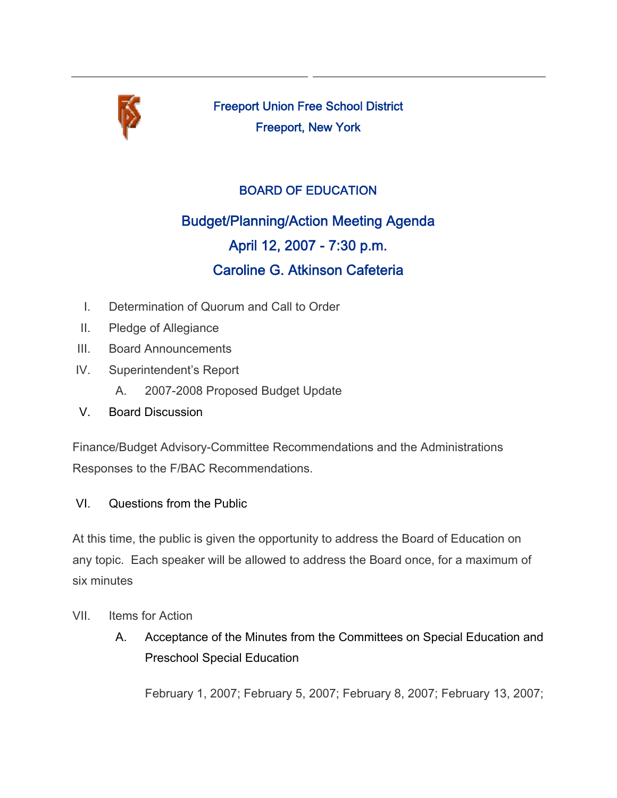

Freeport Union Free School District Freeport, New York

## BOARD OF EDUCATION

## Budget/Planning/Action Meeting Agenda April 12, 2007 - 7:30 p.m. Caroline G. Atkinson Cafeteria

- I. Determination of Quorum and Call to Order
- II. Pledge of Allegiance
- III. Board Announcements
- IV. Superintendent's Report
	- A. 2007-2008 Proposed Budget Update
- V. Board Discussion

Finance/Budget Advisory-Committee Recommendations and the Administrations Responses to the F/BAC Recommendations.

## VI. Questions from the Public

At this time, the public is given the opportunity to address the Board of Education on any topic. Each speaker will be allowed to address the Board once, for a maximum of six minutes

- VII. Items for Action
	- A. Acceptance of the Minutes from the Committees on Special Education and Preschool Special Education

February 1, 2007; February 5, 2007; February 8, 2007; February 13, 2007;